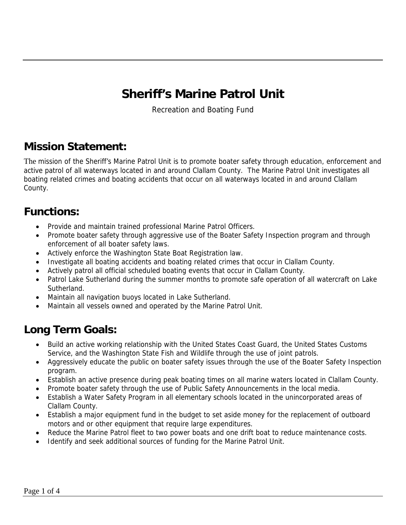# **Sheriff's Marine Patrol Unit**

Recreation and Boating Fund

#### **Mission Statement:**

The mission of the Sheriff's Marine Patrol Unit is to promote boater safety through education, enforcement and active patrol of all waterways located in and around Clallam County. The Marine Patrol Unit investigates all boating related crimes and boating accidents that occur on all waterways located in and around Clallam County.

#### **Functions:**

- Provide and maintain trained professional Marine Patrol Officers.
- Promote boater safety through aggressive use of the Boater Safety Inspection program and through enforcement of all boater safety laws.
- Actively enforce the Washington State Boat Registration law.
- Investigate all boating accidents and boating related crimes that occur in Clallam County.
- Actively patrol all official scheduled boating events that occur in Clallam County.
- Patrol Lake Sutherland during the summer months to promote safe operation of all watercraft on Lake Sutherland.
- Maintain all navigation buoys located in Lake Sutherland.
- Maintain all vessels owned and operated by the Marine Patrol Unit.

## **Long Term Goals:**

- Build an active working relationship with the United States Coast Guard, the United States Customs Service, and the Washington State Fish and Wildlife through the use of joint patrols.
- Aggressively educate the public on boater safety issues through the use of the Boater Safety Inspection program.
- Establish an active presence during peak boating times on all marine waters located in Clallam County.
- Promote boater safety through the use of Public Safety Announcements in the local media.
- Establish a Water Safety Program in all elementary schools located in the unincorporated areas of Clallam County.
- Establish a major equipment fund in the budget to set aside money for the replacement of outboard motors and or other equipment that require large expenditures.
- Reduce the Marine Patrol fleet to two power boats and one drift boat to reduce maintenance costs.
- Identify and seek additional sources of funding for the Marine Patrol Unit.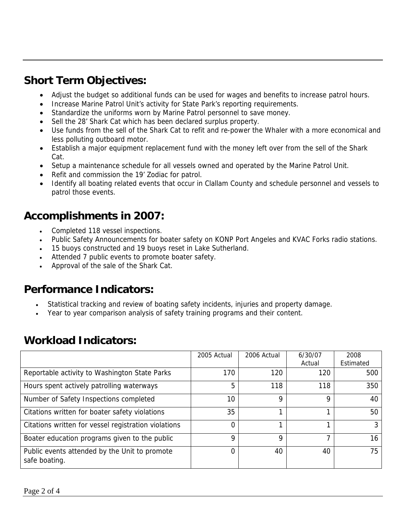#### **Short Term Objectives:**

- Adjust the budget so additional funds can be used for wages and benefits to increase patrol hours.
- Increase Marine Patrol Unit's activity for State Park's reporting requirements.
- Standardize the uniforms worn by Marine Patrol personnel to save money.
- Sell the 28' Shark Cat which has been declared surplus property.
- Use funds from the sell of the Shark Cat to refit and re-power the Whaler with a more economical and less polluting outboard motor.
- Establish a major equipment replacement fund with the money left over from the sell of the Shark Cat.
- Setup a maintenance schedule for all vessels owned and operated by the Marine Patrol Unit.
- Refit and commission the 19' Zodiac for patrol.
- Identify all boating related events that occur in Clallam County and schedule personnel and vessels to patrol those events.

## **Accomplishments in 2007:**

- Completed 118 vessel inspections.
- Public Safety Announcements for boater safety on KONP Port Angeles and KVAC Forks radio stations.
- 15 buoys constructed and 19 buoys reset in Lake Sutherland.
- Attended 7 public events to promote boater safety.
- Approval of the sale of the Shark Cat.

#### **Performance Indicators:**

- Statistical tracking and review of boating safety incidents, injuries and property damage.
- Year to year comparison analysis of safety training programs and their content.

|                                                                | 2005 Actual | 2006 Actual | 6/30/07<br>Actual | 2008<br>Estimated |
|----------------------------------------------------------------|-------------|-------------|-------------------|-------------------|
| Reportable activity to Washington State Parks                  | 170         | 120         | 120               | 500               |
| Hours spent actively patrolling waterways                      | 5           | 118         | 118               | 350               |
| Number of Safety Inspections completed                         | 10          | Q           | 9                 | 40                |
| Citations written for boater safety violations                 | 35          |             |                   | 50                |
| Citations written for vessel registration violations           | 0           |             |                   | 3                 |
| Boater education programs given to the public                  | 9           | 9           | ⇁                 | 16                |
| Public events attended by the Unit to promote<br>safe boating. | 0           | 40          | 40                | 75                |

#### **Workload Indicators:**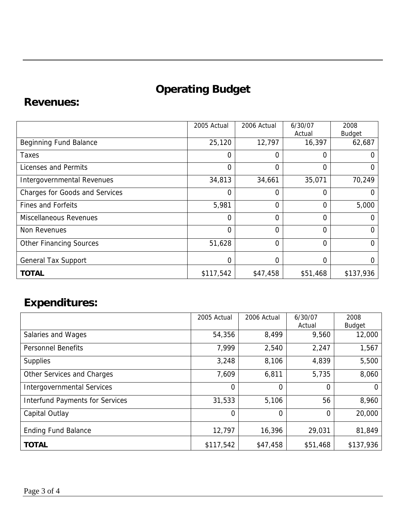# **Operating Budget**

#### **Revenues:**

|                                | 2005 Actual    | 2006 Actual    | 6/30/07<br>Actual | 2008<br><b>Budget</b> |
|--------------------------------|----------------|----------------|-------------------|-----------------------|
| <b>Beginning Fund Balance</b>  | 25,120         | 12,797         | 16,397            | 62,687                |
| Taxes                          | 0              | $\Omega$       | 0                 | O                     |
| Licenses and Permits           | $\overline{0}$ | $\mathbf 0$    | 0                 | 0                     |
| Intergovernmental Revenues     | 34,813         | 34,661         | 35,071            | 70,249                |
| Charges for Goods and Services | $\overline{0}$ | $\overline{0}$ | 0                 | 0                     |
| <b>Fines and Forfeits</b>      | 5,981          | $\overline{0}$ | 0                 | 5,000                 |
| <b>Miscellaneous Revenues</b>  | $\overline{0}$ | $\Omega$       | 0                 | $\Omega$              |
| Non Revenues                   | $\overline{0}$ | $\overline{0}$ | 0                 | 0                     |
| <b>Other Financing Sources</b> | 51,628         | $\mathbf 0$    | 0                 | 0                     |
| <b>General Tax Support</b>     | 0              | $\mathbf 0$    | 0                 | 0                     |
| <b>TOTAL</b>                   | \$117,542      | \$47,458       | \$51,468          | \$137,936             |

## **Expenditures:**

|                                        | 2005 Actual | 2006 Actual | 6/30/07  | 2008          |
|----------------------------------------|-------------|-------------|----------|---------------|
|                                        |             |             | Actual   | <b>Budget</b> |
| Salaries and Wages                     | 54,356      | 8,499       | 9,560    | 12,000        |
| <b>Personnel Benefits</b>              | 7,999       | 2,540       | 2,247    | 1,567         |
| <b>Supplies</b>                        | 3,248       | 8,106       | 4,839    | 5,500         |
| Other Services and Charges             | 7,609       | 6,811       | 5,735    | 8,060         |
| <b>Intergovernmental Services</b>      | 0           | 0           | $\Omega$ | $\Omega$      |
| <b>Interfund Payments for Services</b> | 31,533      | 5,106       | 56       | 8,960         |
| Capital Outlay                         | $\Omega$    | $\Omega$    | 0        | 20,000        |
| <b>Ending Fund Balance</b>             | 12,797      | 16,396      | 29,031   | 81,849        |
| <b>TOTAL</b>                           | \$117,542   | \$47,458    | \$51,468 | \$137,936     |